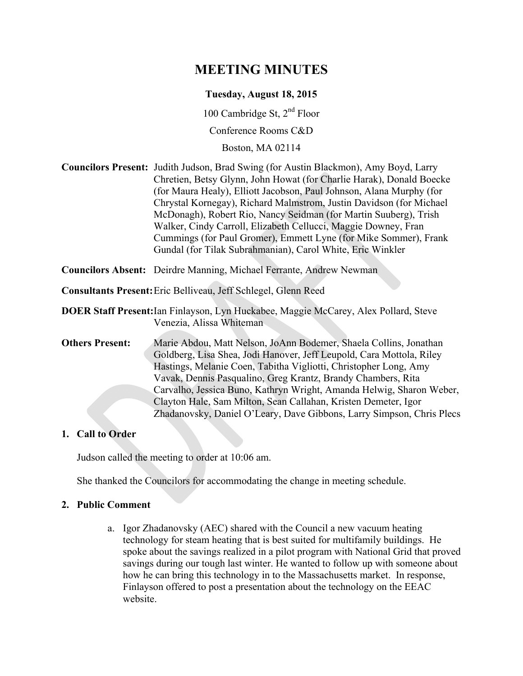# **MEETING MINUTES**

#### **Tuesday, August 18, 2015**

100 Cambridge St, 2nd Floor

Conference Rooms C&D

Boston, MA 02114

**Councilors Present:** Judith Judson, Brad Swing (for Austin Blackmon), Amy Boyd, Larry Chretien, Betsy Glynn, John Howat (for Charlie Harak), Donald Boecke (for Maura Healy), Elliott Jacobson, Paul Johnson, Alana Murphy (for Chrystal Kornegay), Richard Malmstrom, Justin Davidson (for Michael McDonagh), Robert Rio, Nancy Seidman (for Martin Suuberg), Trish Walker, Cindy Carroll, Elizabeth Cellucci, Maggie Downey, Fran Cummings (for Paul Gromer), Emmett Lyne (for Mike Sommer), Frank Gundal (for Tilak Subrahmanian), Carol White, Eric Winkler

**Councilors Absent:** Deirdre Manning, Michael Ferrante, Andrew Newman

**Consultants Present:** Eric Belliveau, Jeff Schlegel, Glenn Reed

**DOER Staff Present:** Ian Finlayson, Lyn Huckabee, Maggie McCarey, Alex Pollard, Steve Venezia, Alissa Whiteman

**Others Present:** Marie Abdou, Matt Nelson, JoAnn Bodemer, Shaela Collins, Jonathan Goldberg, Lisa Shea, Jodi Hanover, Jeff Leupold, Cara Mottola, Riley Hastings, Melanie Coen, Tabitha Vigliotti, Christopher Long, Amy Vavak, Dennis Pasqualino, Greg Krantz, Brandy Chambers, Rita Carvalho, Jessica Buno, Kathryn Wright, Amanda Helwig, Sharon Weber, Clayton Hale, Sam Milton, Sean Callahan, Kristen Demeter, Igor Zhadanovsky, Daniel O'Leary, Dave Gibbons, Larry Simpson, Chris Plecs

#### **1. Call to Order**

Judson called the meeting to order at 10:06 am.

She thanked the Councilors for accommodating the change in meeting schedule.

#### **2. Public Comment**

a. Igor Zhadanovsky (AEC) shared with the Council a new vacuum heating technology for steam heating that is best suited for multifamily buildings. He spoke about the savings realized in a pilot program with National Grid that proved savings during our tough last winter. He wanted to follow up with someone about how he can bring this technology in to the Massachusetts market. In response, Finlayson offered to post a presentation about the technology on the EEAC website.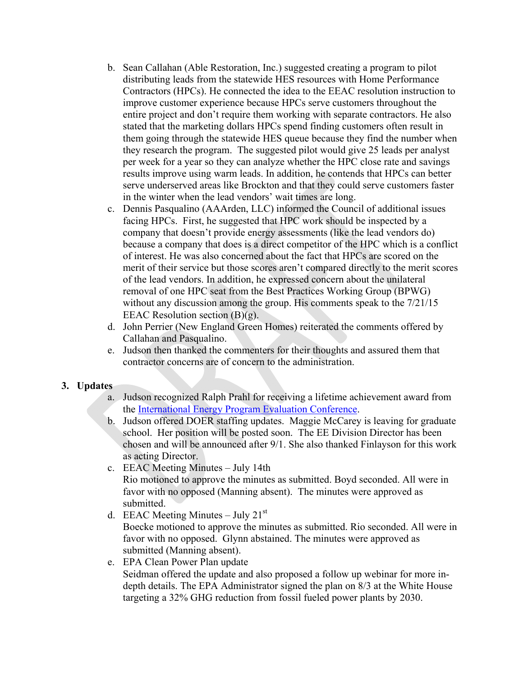- b. Sean Callahan (Able Restoration, Inc.) suggested creating a program to pilot distributing leads from the statewide HES resources with Home Performance Contractors (HPCs). He connected the idea to the EEAC resolution instruction to improve customer experience because HPCs serve customers throughout the entire project and don't require them working with separate contractors. He also stated that the marketing dollars HPCs spend finding customers often result in them going through the statewide HES queue because they find the number when they research the program. The suggested pilot would give 25 leads per analyst per week for a year so they can analyze whether the HPC close rate and savings results improve using warm leads. In addition, he contends that HPCs can better serve underserved areas like Brockton and that they could serve customers faster in the winter when the lead vendors' wait times are long.
- c. Dennis Pasqualino (AAArden, LLC) informed the Council of additional issues facing HPCs. First, he suggested that HPC work should be inspected by a company that doesn't provide energy assessments (like the lead vendors do) because a company that does is a direct competitor of the HPC which is a conflict of interest. He was also concerned about the fact that HPCs are scored on the merit of their service but those scores aren't compared directly to the merit scores of the lead vendors. In addition, he expressed concern about the unilateral removal of one HPC seat from the Best Practices Working Group (BPWG) without any discussion among the group. His comments speak to the 7/21/15 EEAC Resolution section (B)(g).
- d. John Perrier (New England Green Homes) reiterated the comments offered by Callahan and Pasqualino.
- e. Judson then thanked the commenters for their thoughts and assured them that contractor concerns are of concern to the administration.

#### **3. Updates**

- a. Judson recognized Ralph Prahl for receiving a lifetime achievement award from the International Energy Program Evaluation Conference.
- b. Judson offered DOER staffing updates. Maggie McCarey is leaving for graduate school. Her position will be posted soon. The EE Division Director has been chosen and will be announced after 9/1. She also thanked Finlayson for this work as acting Director.
- c. EEAC Meeting Minutes July 14th Rio motioned to approve the minutes as submitted. Boyd seconded. All were in favor with no opposed (Manning absent). The minutes were approved as submitted.
- d. EEAC Meeting Minutes July  $21<sup>st</sup>$ Boecke motioned to approve the minutes as submitted. Rio seconded. All were in favor with no opposed. Glynn abstained. The minutes were approved as submitted (Manning absent).
- e. EPA Clean Power Plan update Seidman offered the update and also proposed a follow up webinar for more indepth details. The EPA Administrator signed the plan on 8/3 at the White House targeting a 32% GHG reduction from fossil fueled power plants by 2030.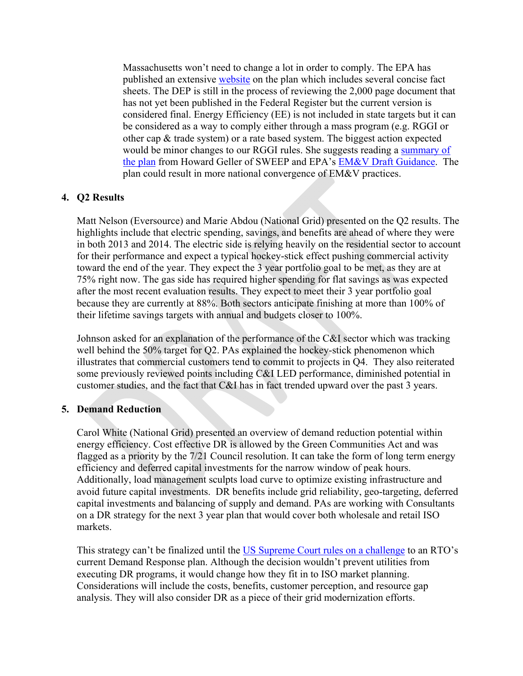Massachusetts won't need to change a lot in order to comply. The EPA has published an extensive website on the plan which includes several concise fact sheets. The DEP is still in the process of reviewing the 2,000 page document that has not yet been published in the Federal Register but the current version is considered final. Energy Efficiency (EE) is not included in state targets but it can be considered as a way to comply either through a mass program (e.g. RGGI or other cap & trade system) or a rate based system. The biggest action expected would be minor changes to our RGGI rules. She suggests reading a summary of the plan from Howard Geller of SWEEP and EPA's EM&V Draft Guidance. The plan could result in more national convergence of EM&V practices.

#### **4. Q2 Results**

Matt Nelson (Eversource) and Marie Abdou (National Grid) presented on the Q2 results. The highlights include that electric spending, savings, and benefits are ahead of where they were in both 2013 and 2014. The electric side is relying heavily on the residential sector to account for their performance and expect a typical hockey-stick effect pushing commercial activity toward the end of the year. They expect the 3 year portfolio goal to be met, as they are at 75% right now. The gas side has required higher spending for flat savings as was expected after the most recent evaluation results. They expect to meet their 3 year portfolio goal because they are currently at 88%. Both sectors anticipate finishing at more than 100% of their lifetime savings targets with annual and budgets closer to 100%.

Johnson asked for an explanation of the performance of the C&I sector which was tracking well behind the 50% target for Q2. PAs explained the hockey-stick phenomenon which illustrates that commercial customers tend to commit to projects in Q4. They also reiterated some previously reviewed points including C&I LED performance, diminished potential in customer studies, and the fact that C&I has in fact trended upward over the past 3 years.

#### **5. Demand Reduction**

Carol White (National Grid) presented an overview of demand reduction potential within energy efficiency. Cost effective DR is allowed by the Green Communities Act and was flagged as a priority by the 7/21 Council resolution. It can take the form of long term energy efficiency and deferred capital investments for the narrow window of peak hours. Additionally, load management sculpts load curve to optimize existing infrastructure and avoid future capital investments. DR benefits include grid reliability, geo-targeting, deferred capital investments and balancing of supply and demand. PAs are working with Consultants on a DR strategy for the next 3 year plan that would cover both wholesale and retail ISO markets.

This strategy can't be finalized until the US Supreme Court rules on a challenge to an RTO's current Demand Response plan. Although the decision wouldn't prevent utilities from executing DR programs, it would change how they fit in to ISO market planning. Considerations will include the costs, benefits, customer perception, and resource gap analysis. They will also consider DR as a piece of their grid modernization efforts.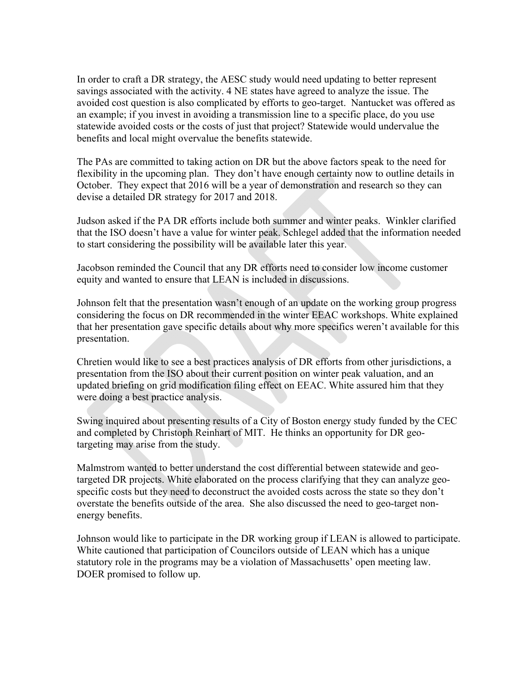In order to craft a DR strategy, the AESC study would need updating to better represent savings associated with the activity. 4 NE states have agreed to analyze the issue. The avoided cost question is also complicated by efforts to geo-target. Nantucket was offered as an example; if you invest in avoiding a transmission line to a specific place, do you use statewide avoided costs or the costs of just that project? Statewide would undervalue the benefits and local might overvalue the benefits statewide.

The PAs are committed to taking action on DR but the above factors speak to the need for flexibility in the upcoming plan. They don't have enough certainty now to outline details in October. They expect that 2016 will be a year of demonstration and research so they can devise a detailed DR strategy for 2017 and 2018.

Judson asked if the PA DR efforts include both summer and winter peaks. Winkler clarified that the ISO doesn't have a value for winter peak. Schlegel added that the information needed to start considering the possibility will be available later this year.

Jacobson reminded the Council that any DR efforts need to consider low income customer equity and wanted to ensure that LEAN is included in discussions.

Johnson felt that the presentation wasn't enough of an update on the working group progress considering the focus on DR recommended in the winter EEAC workshops. White explained that her presentation gave specific details about why more specifics weren't available for this presentation.

Chretien would like to see a best practices analysis of DR efforts from other jurisdictions, a presentation from the ISO about their current position on winter peak valuation, and an updated briefing on grid modification filing effect on EEAC. White assured him that they were doing a best practice analysis.

Swing inquired about presenting results of a City of Boston energy study funded by the CEC and completed by Christoph Reinhart of MIT. He thinks an opportunity for DR geotargeting may arise from the study.

Malmstrom wanted to better understand the cost differential between statewide and geotargeted DR projects. White elaborated on the process clarifying that they can analyze geospecific costs but they need to deconstruct the avoided costs across the state so they don't overstate the benefits outside of the area. She also discussed the need to geo-target nonenergy benefits.

Johnson would like to participate in the DR working group if LEAN is allowed to participate. White cautioned that participation of Councilors outside of LEAN which has a unique statutory role in the programs may be a violation of Massachusetts' open meeting law. DOER promised to follow up.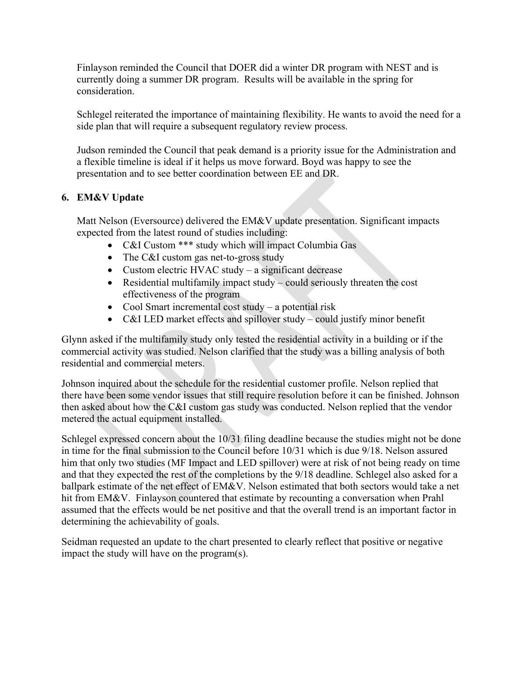Finlayson reminded the Council that DOER did a winter DR program with NEST and is currently doing a summer DR program. Results will be available in the spring for consideration.

Schlegel reiterated the importance of maintaining flexibility. He wants to avoid the need for a side plan that will require a subsequent regulatory review process.

Judson reminded the Council that peak demand is a priority issue for the Administration and a flexible timeline is ideal if it helps us move forward. Boyd was happy to see the presentation and to see better coordination between EE and DR.

## **6. EM&V Update**

Matt Nelson (Eversource) delivered the EM&V update presentation. Significant impacts expected from the latest round of studies including:

- C&I Custom \*\*\* study which will impact Columbia Gas
- The C&I custom gas net-to-gross study
- Custom electric HVAC study a significant decrease
- Residential multifamily impact study could seriously threaten the cost effectiveness of the program
- Cool Smart incremental cost study a potential risk
- C&I LED market effects and spillover study could justify minor benefit

Glynn asked if the multifamily study only tested the residential activity in a building or if the commercial activity was studied. Nelson clarified that the study was a billing analysis of both residential and commercial meters.

Johnson inquired about the schedule for the residential customer profile. Nelson replied that there have been some vendor issues that still require resolution before it can be finished. Johnson then asked about how the C&I custom gas study was conducted. Nelson replied that the vendor metered the actual equipment installed.

Schlegel expressed concern about the 10/31 filing deadline because the studies might not be done in time for the final submission to the Council before 10/31 which is due 9/18. Nelson assured him that only two studies (MF Impact and LED spillover) were at risk of not being ready on time and that they expected the rest of the completions by the 9/18 deadline. Schlegel also asked for a ballpark estimate of the net effect of EM&V. Nelson estimated that both sectors would take a net hit from EM&V. Finlayson countered that estimate by recounting a conversation when Prahl assumed that the effects would be net positive and that the overall trend is an important factor in determining the achievability of goals.

Seidman requested an update to the chart presented to clearly reflect that positive or negative impact the study will have on the program(s).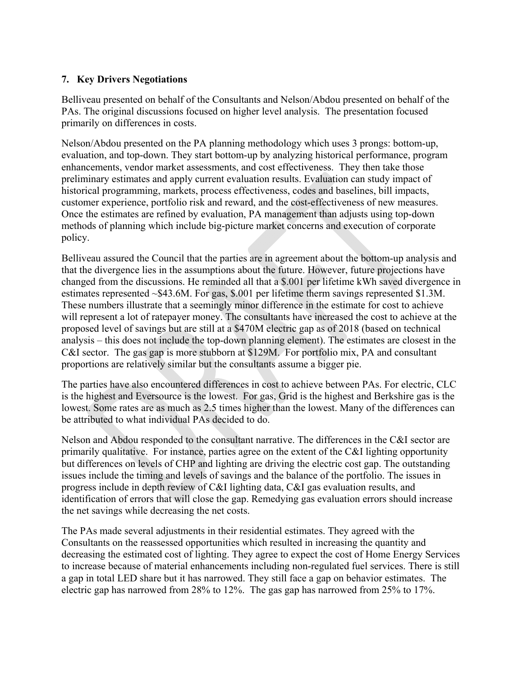### **7. Key Drivers Negotiations**

Belliveau presented on behalf of the Consultants and Nelson/Abdou presented on behalf of the PAs. The original discussions focused on higher level analysis. The presentation focused primarily on differences in costs.

Nelson/Abdou presented on the PA planning methodology which uses 3 prongs: bottom-up, evaluation, and top-down. They start bottom-up by analyzing historical performance, program enhancements, vendor market assessments, and cost effectiveness. They then take those preliminary estimates and apply current evaluation results. Evaluation can study impact of historical programming, markets, process effectiveness, codes and baselines, bill impacts, customer experience, portfolio risk and reward, and the cost-effectiveness of new measures. Once the estimates are refined by evaluation, PA management than adjusts using top-down methods of planning which include big-picture market concerns and execution of corporate policy.

Belliveau assured the Council that the parties are in agreement about the bottom-up analysis and that the divergence lies in the assumptions about the future. However, future projections have changed from the discussions. He reminded all that a \$.001 per lifetime kWh saved divergence in estimates represented ~\$43.6M. For gas, \$.001 per lifetime therm savings represented \$1.3M. These numbers illustrate that a seemingly minor difference in the estimate for cost to achieve will represent a lot of ratepayer money. The consultants have increased the cost to achieve at the proposed level of savings but are still at a \$470M electric gap as of 2018 (based on technical analysis – this does not include the top-down planning element). The estimates are closest in the C&I sector. The gas gap is more stubborn at \$129M. For portfolio mix, PA and consultant proportions are relatively similar but the consultants assume a bigger pie.

The parties have also encountered differences in cost to achieve between PAs. For electric, CLC is the highest and Eversource is the lowest. For gas, Grid is the highest and Berkshire gas is the lowest. Some rates are as much as 2.5 times higher than the lowest. Many of the differences can be attributed to what individual PAs decided to do.

Nelson and Abdou responded to the consultant narrative. The differences in the C&I sector are primarily qualitative. For instance, parties agree on the extent of the C&I lighting opportunity but differences on levels of CHP and lighting are driving the electric cost gap. The outstanding issues include the timing and levels of savings and the balance of the portfolio. The issues in progress include in depth review of C&I lighting data, C&I gas evaluation results, and identification of errors that will close the gap. Remedying gas evaluation errors should increase the net savings while decreasing the net costs.

The PAs made several adjustments in their residential estimates. They agreed with the Consultants on the reassessed opportunities which resulted in increasing the quantity and decreasing the estimated cost of lighting. They agree to expect the cost of Home Energy Services to increase because of material enhancements including non-regulated fuel services. There is still a gap in total LED share but it has narrowed. They still face a gap on behavior estimates. The electric gap has narrowed from 28% to 12%. The gas gap has narrowed from 25% to 17%.